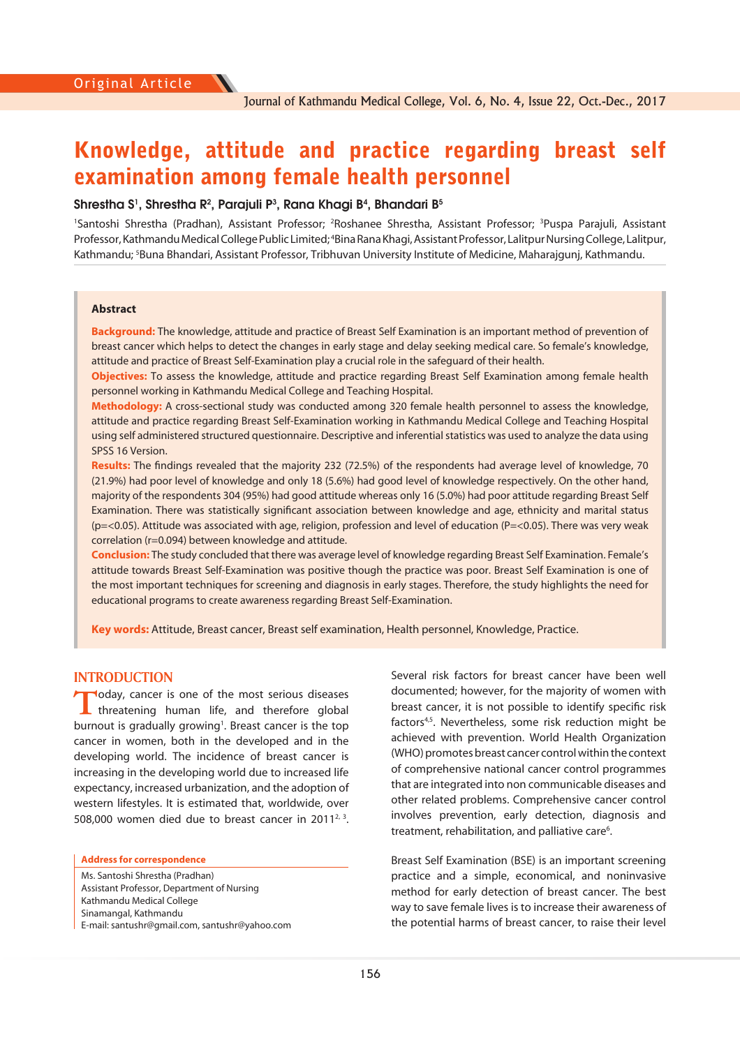# Knowledge, attitude and practice regarding breast self examination among female health personnel

#### **Shrestha S1 , Shrestha R2 , Parajuli P3 , Rana Khagi B4 , Bhandari B5**

<sup>1</sup>Santoshi Shrestha (Pradhan), Assistant Professor; <sup>2</sup>Roshanee Shrestha, Assistant Professor; <sup>3</sup>Puspa Parajuli, Assistant Professor, Kathmandu Medical College Public Limited; <sup>4</sup>Bina Rana Khagi, Assistant Professor, Lalitpur Nursing College, Lalitpur, Kathmandu; 5 Buna Bhandari, Assistant Professor, Tribhuvan University Institute of Medicine, Maharajgunj, Kathmandu.

#### **Abstract**

**Background:** The knowledge, attitude and practice of Breast Self Examination is an important method of prevention of breast cancer which helps to detect the changes in early stage and delay seeking medical care. So female's knowledge, attitude and practice of Breast Self-Examination play a crucial role in the safeguard of their health.

**Objectives:** To assess the knowledge, attitude and practice regarding Breast Self Examination among female health personnel working in Kathmandu Medical College and Teaching Hospital.

**Methodology:** A cross-sectional study was conducted among 320 female health personnel to assess the knowledge, attitude and practice regarding Breast Self-Examination working in Kathmandu Medical College and Teaching Hospital using self administered structured questionnaire. Descriptive and inferential statistics was used to analyze the data using SPSS 16 Version.

**Results:** The findings revealed that the majority 232 (72.5%) of the respondents had average level of knowledge, 70 (21.9%) had poor level of knowledge and only 18 (5.6%) had good level of knowledge respectively. On the other hand, majority of the respondents 304 (95%) had good attitude whereas only 16 (5.0%) had poor attitude regarding Breast Self Examination. There was statistically significant association between knowledge and age, ethnicity and marital status (p=<0.05). Attitude was associated with age, religion, profession and level of education (P=<0.05). There was very weak correlation (r=0.094) between knowledge and attitude.

**Conclusion:** The study concluded that there was average level of knowledge regarding Breast Self Examination. Female's attitude towards Breast Self-Examination was positive though the practice was poor. Breast Self Examination is one of the most important techniques for screening and diagnosis in early stages. Therefore, the study highlights the need for educational programs to create awareness regarding Breast Self-Examination.

**Key words:** Attitude, Breast cancer, Breast self examination, Health personnel, Knowledge, Practice.

### **INTRODUCTION**

**T**oday, cancer is one of the most serious diseases<br>threatening human life, and therefore global burnout is gradually growing<sup>1</sup>. Breast cancer is the top cancer in women, both in the developed and in the developing world. The incidence of breast cancer is increasing in the developing world due to increased life expectancy, increased urbanization, and the adoption of western lifestyles. It is estimated that, worldwide, over 508,000 women died due to breast cancer in  $2011^{2,3}$ .

#### **Address for correspondence**

Ms. Santoshi Shrestha (Pradhan) Assistant Professor, Department of Nursing Kathmandu Medical College Sinamangal, Kathmandu E-mail: santushr@gmail.com, santushr@yahoo.com Several risk factors for breast cancer have been well documented; however, for the majority of women with breast cancer, it is not possible to identify specific risk factors<sup>4,5</sup>. Nevertheless, some risk reduction might be achieved with prevention. World Health Organization (WHO) promotes breast cancer control within the context of comprehensive national cancer control programmes that are integrated into non communicable diseases and other related problems. Comprehensive cancer control involves prevention, early detection, diagnosis and treatment, rehabilitation, and palliative care<sup>6</sup>.

Breast Self Examination (BSE) is an important screening practice and a simple, economical, and noninvasive method for early detection of breast cancer. The best way to save female lives is to increase their awareness of the potential harms of breast cancer, to raise their level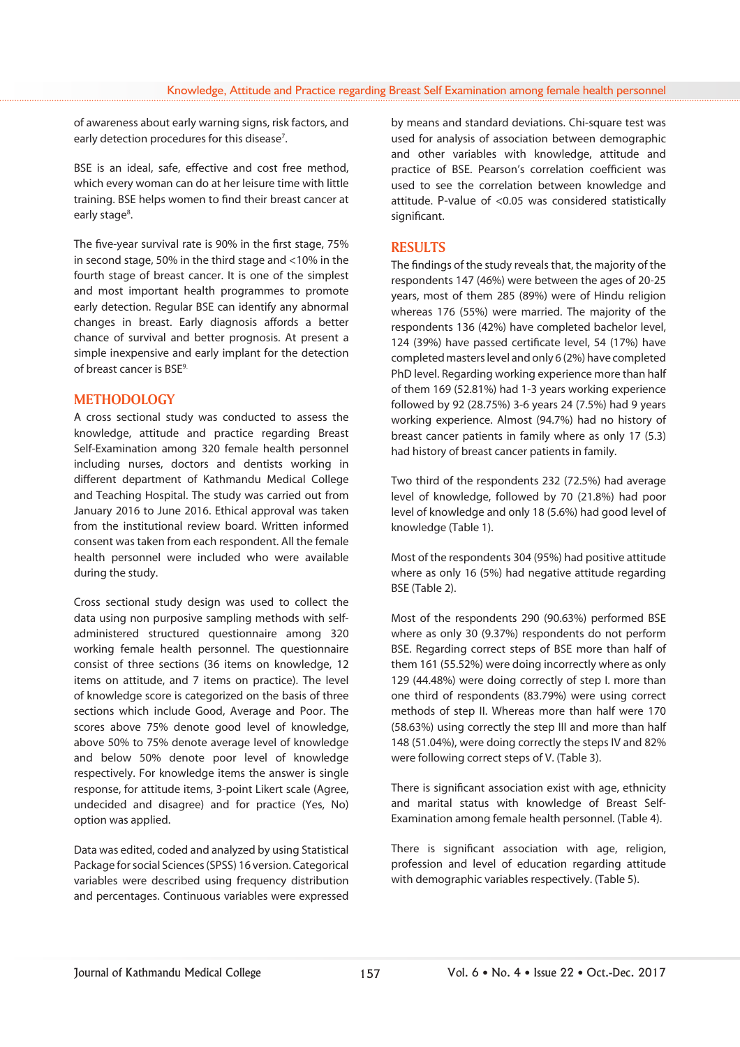of awareness about early warning signs, risk factors, and early detection procedures for this disease<sup>7</sup>.

BSE is an ideal, safe, effective and cost free method, which every woman can do at her leisure time with little training. BSE helps women to find their breast cancer at early stage<sup>8</sup>.

The five-year survival rate is 90% in the first stage, 75% in second stage, 50% in the third stage and <10% in the fourth stage of breast cancer. It is one of the simplest and most important health programmes to promote early detection. Regular BSE can identify any abnormal changes in breast. Early diagnosis affords a better chance of survival and better prognosis. At present a simple inexpensive and early implant for the detection of breast cancer is BSE<sup>9.</sup>

# **METHODOLOGY**

A cross sectional study was conducted to assess the knowledge, attitude and practice regarding Breast Self-Examination among 320 female health personnel including nurses, doctors and dentists working in different department of Kathmandu Medical College and Teaching Hospital. The study was carried out from January 2016 to June 2016. Ethical approval was taken from the institutional review board. Written informed consent was taken from each respondent. All the female health personnel were included who were available during the study.

Cross sectional study design was used to collect the data using non purposive sampling methods with selfadministered structured questionnaire among 320 working female health personnel. The questionnaire consist of three sections (36 items on knowledge, 12 items on attitude, and 7 items on practice). The level of knowledge score is categorized on the basis of three sections which include Good, Average and Poor. The scores above 75% denote good level of knowledge, above 50% to 75% denote average level of knowledge and below 50% denote poor level of knowledge respectively. For knowledge items the answer is single response, for attitude items, 3-point Likert scale (Agree, undecided and disagree) and for practice (Yes, No) option was applied.

Data was edited, coded and analyzed by using Statistical Package for social Sciences (SPSS) 16 version. Categorical variables were described using frequency distribution and percentages. Continuous variables were expressed

by means and standard deviations. Chi-square test was used for analysis of association between demographic and other variables with knowledge, attitude and practice of BSE. Pearson's correlation coefficient was used to see the correlation between knowledge and attitude. P-value of <0.05 was considered statistically significant.

# **RESULTS**

The findings of the study reveals that, the majority of the respondents 147 (46%) were between the ages of 20-25 years, most of them 285 (89%) were of Hindu religion whereas 176 (55%) were married. The majority of the respondents 136 (42%) have completed bachelor level, 124 (39%) have passed certificate level, 54 (17%) have completed masters level and only 6 (2%) have completed PhD level. Regarding working experience more than half of them 169 (52.81%) had 1-3 years working experience followed by 92 (28.75%) 3-6 years 24 (7.5%) had 9 years working experience. Almost (94.7%) had no history of breast cancer patients in family where as only 17 (5.3) had history of breast cancer patients in family.

Two third of the respondents 232 (72.5%) had average level of knowledge, followed by 70 (21.8%) had poor level of knowledge and only 18 (5.6%) had good level of knowledge (Table 1).

Most of the respondents 304 (95%) had positive attitude where as only 16 (5%) had negative attitude regarding BSE (Table 2).

Most of the respondents 290 (90.63%) performed BSE where as only 30 (9.37%) respondents do not perform BSE. Regarding correct steps of BSE more than half of them 161 (55.52%) were doing incorrectly where as only 129 (44.48%) were doing correctly of step I. more than one third of respondents (83.79%) were using correct methods of step II. Whereas more than half were 170 (58.63%) using correctly the step III and more than half 148 (51.04%), were doing correctly the steps IV and 82% were following correct steps of V. (Table 3).

There is significant association exist with age, ethnicity and marital status with knowledge of Breast Self-Examination among female health personnel. (Table 4).

There is significant association with age, religion, profession and level of education regarding attitude with demographic variables respectively. (Table 5).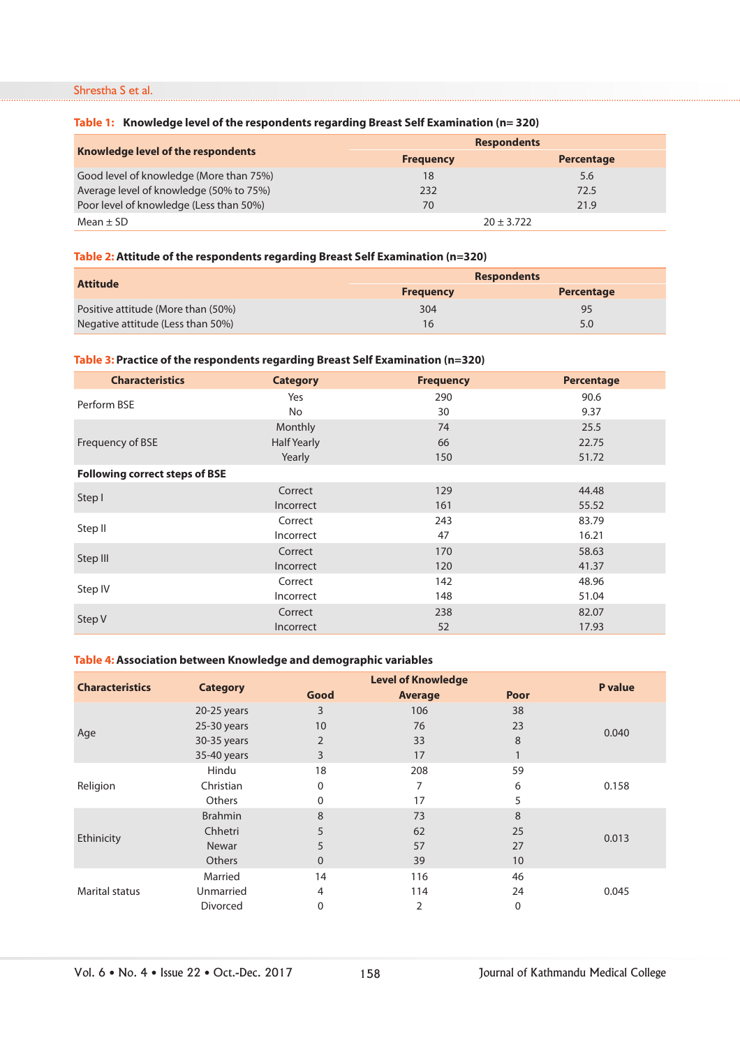# Shrestha S et al.

## **Table 1: Knowledge level of the respondents regarding Breast Self Examination (n= 320)**

|                                         | <b>Respondents</b> |            |
|-----------------------------------------|--------------------|------------|
| Knowledge level of the respondents      | <b>Frequency</b>   | Percentage |
| Good level of knowledge (More than 75%) | 18                 | 5.6        |
| Average level of knowledge (50% to 75%) | 232                | 72.5       |
| Poor level of knowledge (Less than 50%) | 70                 | 21.9       |
| Mean $\pm$ SD                           | $20 \pm 3.722$     |            |

# **Table 2: Attitude of the respondents regarding Breast Self Examination (n=320)**

| <b>Attitude</b>                    | <b>Respondents</b> |                   |
|------------------------------------|--------------------|-------------------|
|                                    | <b>Frequency</b>   | <b>Percentage</b> |
| Positive attitude (More than (50%) | 304                | 95                |
| Negative attitude (Less than 50%)  | 16                 | 5.0               |

## **Table 3: Practice of the respondents regarding Breast Self Examination (n=320)**

| <b>Characteristics</b>                | <b>Category</b>    | <b>Frequency</b> | Percentage |  |  |  |
|---------------------------------------|--------------------|------------------|------------|--|--|--|
| Perform BSE                           | Yes                | 290              | 90.6       |  |  |  |
|                                       | No                 | 30               | 9.37       |  |  |  |
|                                       | Monthly            | 74               | 25.5       |  |  |  |
| Frequency of BSE                      | <b>Half Yearly</b> | 66               | 22.75      |  |  |  |
|                                       | Yearly             | 150              | 51.72      |  |  |  |
| <b>Following correct steps of BSE</b> |                    |                  |            |  |  |  |
|                                       | Correct            | 129              | 44.48      |  |  |  |
| Step I                                | Incorrect          | 161              | 55.52      |  |  |  |
| Step II                               | Correct            | 243              | 83.79      |  |  |  |
|                                       | Incorrect          | 47               | 16.21      |  |  |  |
|                                       | Correct            | 170              | 58.63      |  |  |  |
| Step III                              | Incorrect          | 120              | 41.37      |  |  |  |
|                                       | Correct            | 142              | 48.96      |  |  |  |
| Step IV                               | Incorrect          | 148              | 51.04      |  |  |  |
|                                       | Correct            | 238              | 82.07      |  |  |  |
| Step V                                | Incorrect          | 52               | 17.93      |  |  |  |

# **Table 4: Association between Knowledge and demographic variables**

| <b>Characteristics</b> |                 |          | <b>P</b> value |              |       |
|------------------------|-----------------|----------|----------------|--------------|-------|
|                        | <b>Category</b> | Good     | <b>Average</b> | Poor         |       |
| Age                    | 20-25 years     | 3        | 106            | 38           |       |
|                        | 25-30 years     | 10       | 76             | 23           | 0.040 |
|                        | 30-35 years     | 2        | 33             | 8            |       |
|                        | 35-40 years     | 3        | 17             | $\mathbf{1}$ |       |
| Religion               | Hindu           | 18       | 208            | 59           |       |
|                        | Christian       | 0        | 7              | 6            | 0.158 |
|                        | <b>Others</b>   | 0        | 17             | 5            |       |
| Ethinicity             | <b>Brahmin</b>  | 8        | 73             | 8            |       |
|                        | Chhetri         | 5        | 62             | 25           | 0.013 |
|                        | Newar           | 5        | 57             | 27           |       |
|                        | <b>Others</b>   | $\Omega$ | 39             | 10           |       |
| <b>Marital status</b>  | Married         | 14       | 116            | 46           |       |
|                        | Unmarried       | 4        | 114            | 24           | 0.045 |
|                        | Divorced        | 0        | 2              | 0            |       |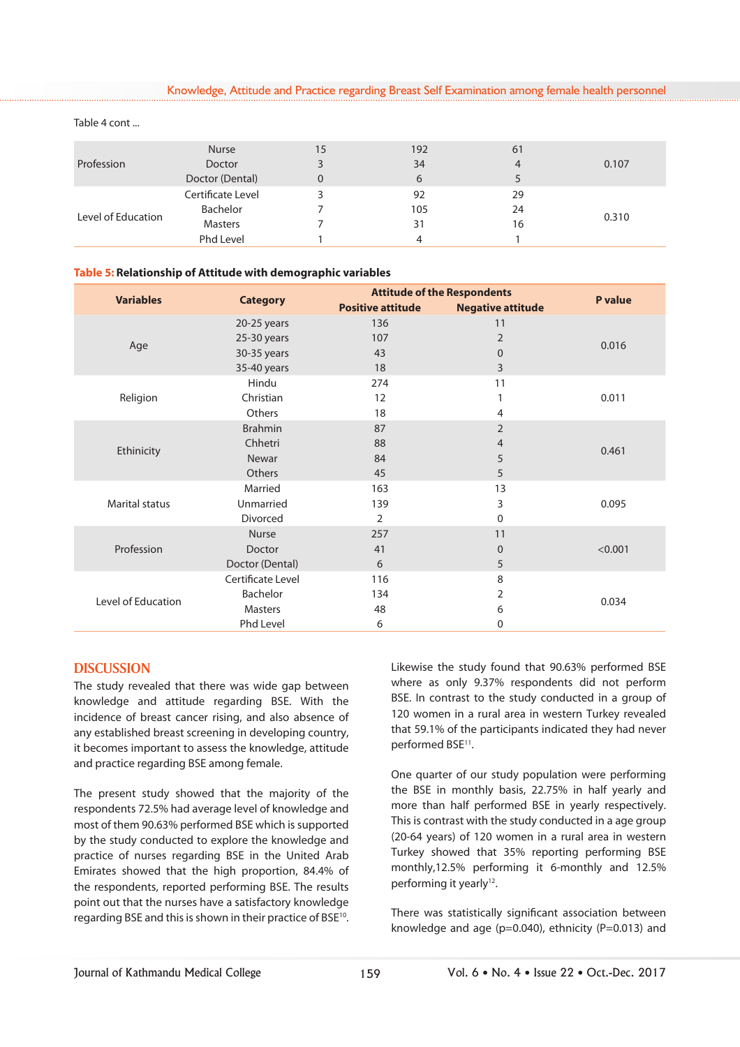Knowledge, Attitude and Practice regarding Breast Self Examination among female health personnel

| Profession         | <b>Nurse</b>      | 15 | 192 | 61 |       |
|--------------------|-------------------|----|-----|----|-------|
|                    | <b>Doctor</b>     |    | 34  | 4  | 0.107 |
|                    | Doctor (Dental)   | 0  | 6   | 5  |       |
| Level of Education | Certificate Level |    | 92  | 29 |       |
|                    | Bachelor          |    | 105 | 24 | 0.310 |
|                    | <b>Masters</b>    |    | 31  | 16 |       |
|                    | Phd Level         |    | 4   |    |       |

#### Table 4 cont ...

#### **Table 5: Relationship of Attitude with demographic variables**

| <b>Variables</b>      |                   |                          | <b>Attitude of the Respondents</b> |                |  |
|-----------------------|-------------------|--------------------------|------------------------------------|----------------|--|
|                       | <b>Category</b>   | <b>Positive attitude</b> | <b>Negative attitude</b>           | <b>P</b> value |  |
|                       | 20-25 years       | 136                      | 11                                 |                |  |
|                       | 25-30 years       | 107                      | $\overline{2}$                     | 0.016          |  |
| Age                   | 30-35 years       | 43                       | $\overline{0}$                     |                |  |
|                       | 35-40 years       | 18                       | 3                                  |                |  |
|                       | Hindu             | 274                      | 11                                 |                |  |
| Religion              | Christian         | 12                       |                                    | 0.011          |  |
|                       | Others            | 18                       | 4                                  |                |  |
|                       | <b>Brahmin</b>    | 87                       | $\overline{2}$                     |                |  |
|                       | Chhetri           | 88                       | 4                                  |                |  |
| Ethinicity            | Newar             | 84                       | 5                                  | 0.461          |  |
|                       | Others            | 45                       | 5                                  |                |  |
|                       | Married           | 163                      | 13                                 |                |  |
| <b>Marital status</b> | Unmarried         | 139                      | 3                                  | 0.095          |  |
|                       | Divorced          | 2                        | 0                                  |                |  |
| Profession            | <b>Nurse</b>      | 257                      | 11                                 |                |  |
|                       | Doctor            | 41                       | $\Omega$                           | < 0.001        |  |
|                       | Doctor (Dental)   | 6                        | 5                                  |                |  |
| Level of Education    | Certificate Level | 116                      | 8                                  |                |  |
|                       | Bachelor          | 134                      | $\overline{2}$                     |                |  |
|                       | <b>Masters</b>    | 48                       | 6                                  | 0.034          |  |
|                       | Phd Level         | 6                        | 0                                  |                |  |

## **DISCUSSION**

The study revealed that there was wide gap between knowledge and attitude regarding BSE. With the incidence of breast cancer rising, and also absence of any established breast screening in developing country, it becomes important to assess the knowledge, attitude and practice regarding BSE among female.

The present study showed that the majority of the respondents 72.5% had average level of knowledge and most of them 90.63% performed BSE which is supported by the study conducted to explore the knowledge and practice of nurses regarding BSE in the United Arab Emirates showed that the high proportion, 84.4% of the respondents, reported performing BSE. The results point out that the nurses have a satisfactory knowledge regarding BSE and this is shown in their practice of BSE10.

Likewise the study found that 90.63% performed BSE where as only 9.37% respondents did not perform BSE. In contrast to the study conducted in a group of 120 women in a rural area in western Turkey revealed that 59.1% of the participants indicated they had never performed BSE<sup>11</sup>.

One quarter of our study population were performing the BSE in monthly basis, 22.75% in half yearly and more than half performed BSE in yearly respectively. This is contrast with the study conducted in a age group (20-64 years) of 120 women in a rural area in western Turkey showed that 35% reporting performing BSE monthly,12.5% performing it 6-monthly and 12.5% performing it yearly<sup>12</sup>.

There was statistically significant association between knowledge and age ( $p=0.040$ ), ethnicity ( $P=0.013$ ) and